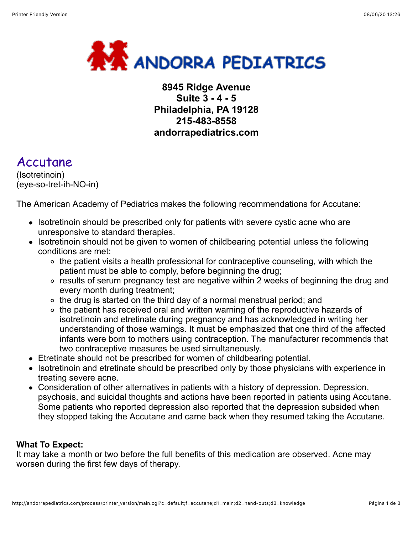

## **8945 Ridge Avenue Suite 3 - 4 - 5 Philadelphia, PA 19128 215-483-8558 andorrapediatrics.com**

# Accutane

(Isotretinoin) (eye-so-tret-ih-NO-in)

The American Academy of Pediatrics makes the following recommendations for Accutane:

- Isotretinoin should be prescribed only for patients with severe cystic acne who are unresponsive to standard therapies.
- Isotretinoin should not be given to women of childbearing potential unless the following conditions are met:
	- the patient visits a health professional for contraceptive counseling, with which the patient must be able to comply, before beginning the drug;
	- results of serum pregnancy test are negative within 2 weeks of beginning the drug and every month during treatment;
	- the drug is started on the third day of a normal menstrual period; and
	- o the patient has received oral and written warning of the reproductive hazards of isotretinoin and etretinate during pregnancy and has acknowledged in writing her understanding of those warnings. It must be emphasized that one third of the affected infants were born to mothers using contraception. The manufacturer recommends that two contraceptive measures be used simultaneously.
- Etretinate should not be prescribed for women of childbearing potential.
- Isotretinoin and etretinate should be prescribed only by those physicians with experience in treating severe acne.
- Consideration of other alternatives in patients with a history of depression. Depression, psychosis, and suicidal thoughts and actions have been reported in patients using Accutane. Some patients who reported depression also reported that the depression subsided when they stopped taking the Accutane and came back when they resumed taking the Accutane.

#### **What To Expect:**

It may take a month or two before the full benefits of this medication are observed. Acne may worsen during the first few days of therapy.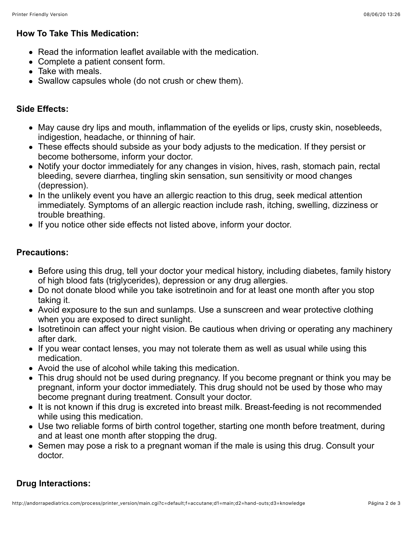#### **How To Take This Medication:**

- Read the information leaflet available with the medication.
- Complete a patient consent form.
- Take with meals.
- Swallow capsules whole (do not crush or chew them).

## **Side Effects:**

- May cause dry lips and mouth, inflammation of the eyelids or lips, crusty skin, nosebleeds, indigestion, headache, or thinning of hair.
- These effects should subside as your body adjusts to the medication. If they persist or become bothersome, inform your doctor.
- Notify your doctor immediately for any changes in vision, hives, rash, stomach pain, rectal bleeding, severe diarrhea, tingling skin sensation, sun sensitivity or mood changes (depression).
- In the unlikely event you have an allergic reaction to this drug, seek medical attention immediately. Symptoms of an allergic reaction include rash, itching, swelling, dizziness or trouble breathing.
- If you notice other side effects not listed above, inform your doctor.

### **Precautions:**

- Before using this drug, tell your doctor your medical history, including diabetes, family history of high blood fats (triglycerides), depression or any drug allergies.
- Do not donate blood while you take isotretinoin and for at least one month after you stop taking it.
- Avoid exposure to the sun and sunlamps. Use a sunscreen and wear protective clothing when you are exposed to direct sunlight.
- Isotretinoin can affect your night vision. Be cautious when driving or operating any machinery after dark.
- If you wear contact lenses, you may not tolerate them as well as usual while using this medication.
- Avoid the use of alcohol while taking this medication.
- This drug should not be used during pregnancy. If you become pregnant or think you may be pregnant, inform your doctor immediately. This drug should not be used by those who may become pregnant during treatment. Consult your doctor.
- It is not known if this drug is excreted into breast milk. Breast-feeding is not recommended while using this medication.
- Use two reliable forms of birth control together, starting one month before treatment, during and at least one month after stopping the drug.
- Semen may pose a risk to a pregnant woman if the male is using this drug. Consult your doctor.

## **Drug Interactions:**